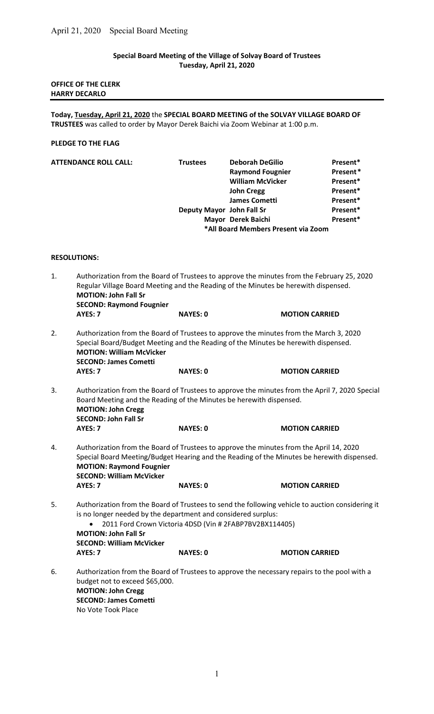# Special Board Meeting of the Village of Solvay Board of Trustees Tuesday, April 21, 2020

### OFFICE OF THE CLERK HARRY DECARLO

Today, Tuesday, April 21, 2020 the SPECIAL BOARD MEETING of the SOLVAY VILLAGE BOARD OF TRUSTEES was called to order by Mayor Derek Baichi via Zoom Webinar at 1:00 p.m.

## PLEDGE TO THE FLAG

| <b>ATTENDANCE ROLL CALL:</b> | <b>Trustees</b>           | <b>Deborah DeGilio</b>              | Present* |
|------------------------------|---------------------------|-------------------------------------|----------|
|                              |                           | <b>Raymond Fougnier</b>             | Present* |
|                              |                           | <b>William McVicker</b>             | Present* |
|                              |                           | <b>John Cregg</b>                   | Present* |
|                              |                           | <b>James Cometti</b>                | Present* |
|                              | Deputy Mayor John Fall Sr |                                     | Present* |
|                              |                           | Mayor Derek Baichi                  | Present* |
|                              |                           | *All Board Members Present via Zoom |          |

### RESOLUTIONS:

| 1. | Authorization from the Board of Trustees to approve the minutes from the February 25, 2020<br>Regular Village Board Meeting and the Reading of the Minutes be herewith dispensed.<br><b>MOTION: John Fall Sr</b><br><b>SECOND: Raymond Fougnier</b>                                            |                                                                                              |                       |  |  |  |
|----|------------------------------------------------------------------------------------------------------------------------------------------------------------------------------------------------------------------------------------------------------------------------------------------------|----------------------------------------------------------------------------------------------|-----------------------|--|--|--|
|    | AYES: 7                                                                                                                                                                                                                                                                                        | <b>NAYES: 0</b>                                                                              | <b>MOTION CARRIED</b> |  |  |  |
| 2. | Authorization from the Board of Trustees to approve the minutes from the March 3, 2020<br>Special Board/Budget Meeting and the Reading of the Minutes be herewith dispensed.<br><b>MOTION: William McVicker</b><br><b>SECOND: James Cometti</b>                                                |                                                                                              |                       |  |  |  |
|    | AYES: 7                                                                                                                                                                                                                                                                                        | <b>NAYES: 0</b>                                                                              | <b>MOTION CARRIED</b> |  |  |  |
| 3. | Authorization from the Board of Trustees to approve the minutes from the April 7, 2020 Special<br>Board Meeting and the Reading of the Minutes be herewith dispensed.<br><b>MOTION: John Cregg</b><br><b>SECOND: John Fall Sr</b>                                                              |                                                                                              |                       |  |  |  |
|    | AYES: 7                                                                                                                                                                                                                                                                                        | <b>NAYES: 0</b>                                                                              | <b>MOTION CARRIED</b> |  |  |  |
| 4. | Authorization from the Board of Trustees to approve the minutes from the April 14, 2020<br>Special Board Meeting/Budget Hearing and the Reading of the Minutes be herewith dispensed.<br><b>MOTION: Raymond Fougnier</b><br><b>SECOND: William McVicker</b>                                    |                                                                                              |                       |  |  |  |
|    | AYES: 7                                                                                                                                                                                                                                                                                        | <b>NAYES: 0</b>                                                                              | <b>MOTION CARRIED</b> |  |  |  |
| 5. | Authorization from the Board of Trustees to send the following vehicle to auction considering it<br>is no longer needed by the department and considered surplus:<br>2011 Ford Crown Victoria 4DSD (Vin # 2FABP7BV2BX114405)<br><b>MOTION: John Fall Sr</b><br><b>SECOND: William McVicker</b> |                                                                                              |                       |  |  |  |
|    | AYES: 7                                                                                                                                                                                                                                                                                        | <b>NAYES: 0</b>                                                                              | <b>MOTION CARRIED</b> |  |  |  |
| 6. | budget not to exceed \$65,000.<br><b>MOTION: John Cregg</b><br><b>SECOND: James Cometti</b><br>No Vote Took Place                                                                                                                                                                              | Authorization from the Board of Trustees to approve the necessary repairs to the pool with a |                       |  |  |  |